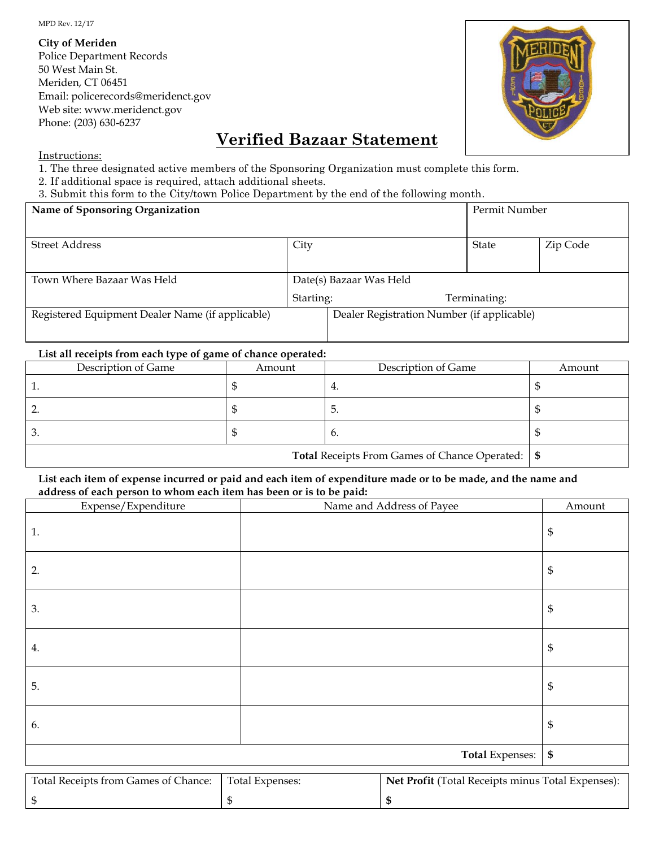MPD Rev. 12/17

**City of Meriden**

Police Department Records 50 West Main St. Meriden, CT 06451 Email: policerecords@meridenct.gov Web site: www.meridenct.gov Phone: (203) 630-6237



## **Verified Bazaar Statement**

Instructions:

- 1. The three designated active members of the Sponsoring Organization must complete this form.
- 2. If additional space is required, attach additional sheets.

3. Submit this form to the City/town Police Department by the end of the following month.

| Name of Sponsoring Organization                  |           | Permit Number                              |              |          |
|--------------------------------------------------|-----------|--------------------------------------------|--------------|----------|
|                                                  |           |                                            |              |          |
| <b>Street Address</b>                            | City      |                                            | State        | Zip Code |
|                                                  |           |                                            |              |          |
| Town Where Bazaar Was Held                       |           | Date(s) Bazaar Was Held                    |              |          |
|                                                  | Starting: |                                            | Terminating: |          |
| Registered Equipment Dealer Name (if applicable) |           | Dealer Registration Number (if applicable) |              |          |
|                                                  |           |                                            |              |          |

## **List all receipts from each type of game of chance operated:**

| Description of Game                                       | Amount | Description of Game | Amount |
|-----------------------------------------------------------|--------|---------------------|--------|
|                                                           |        | Ξ.                  |        |
|                                                           |        | 5.                  |        |
|                                                           |        | 6.                  |        |
| <b>Total Receipts From Games of Chance Operated:</b>   \$ |        |                     |        |

## **List each item of expense incurred or paid and each item of expenditure made or to be made, and the name and address of each person to whom each item has been or is to be paid:**

| Expense/Expenditure                                                                                         | Name and Address of Payee | Amount            |
|-------------------------------------------------------------------------------------------------------------|---------------------------|-------------------|
| 1.                                                                                                          |                           | \$                |
| 2.                                                                                                          |                           | \$                |
| 3.                                                                                                          |                           | \$                |
| 4.                                                                                                          |                           | \$                |
| 5.                                                                                                          |                           | \$                |
| 6.                                                                                                          |                           | \$                |
|                                                                                                             | Total Expenses:           | $\boldsymbol{\$}$ |
| Total Receipts from Games of Chance:<br>Total Expenses:<br>Net Profit (Total Receipts minus Total Expenses) |                           |                   |

| Total Receipts from Games of Chance: | Total Expenses: | <b>Net Profit (Total Receipts minus Total Expenses):</b> |
|--------------------------------------|-----------------|----------------------------------------------------------|
|                                      |                 |                                                          |